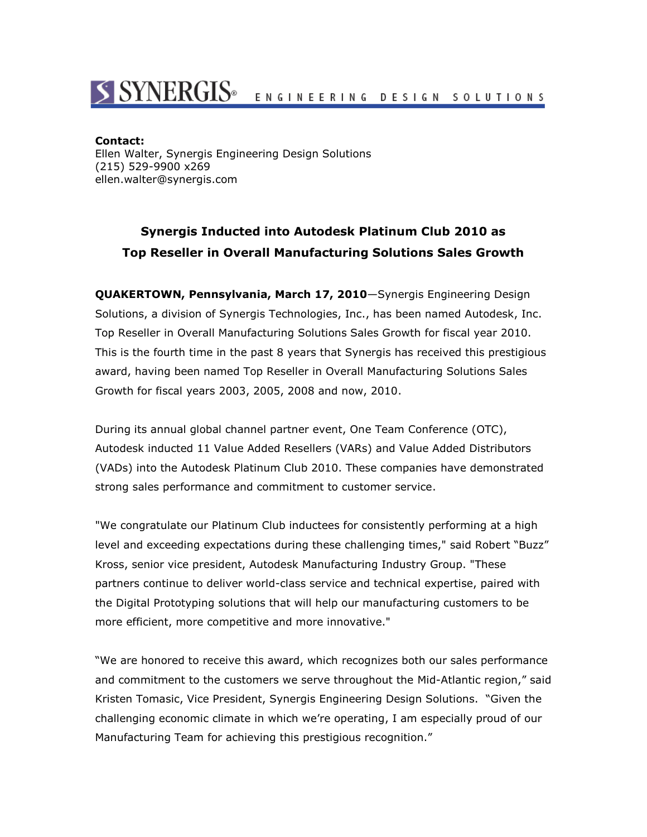## S SYNERGIS<sup>®</sup> ENGINEERING DESIGN SOLUTIONS

## **Contact:**

Ellen Walter, Synergis Engineering Design Solutions (215) 529-9900 x269 ellen.walter@synergis.com

## **Synergis Inducted into Autodesk Platinum Club 2010 as Top Reseller in Overall Manufacturing Solutions Sales Growth**

**QUAKERTOWN, Pennsylvania, March 17, 2010**—Synergis Engineering Design Solutions, a division of Synergis Technologies, Inc., has been named Autodesk, Inc. Top Reseller in Overall Manufacturing Solutions Sales Growth for fiscal year 2010. This is the fourth time in the past 8 years that Synergis has received this prestigious award, having been named Top Reseller in Overall Manufacturing Solutions Sales Growth for fiscal years 2003, 2005, 2008 and now, 2010.

During its annual global channel partner event, One Team Conference (OTC), Autodesk inducted 11 Value Added Resellers (VARs) and Value Added Distributors (VADs) into the Autodesk Platinum Club 2010. These companies have demonstrated strong sales performance and commitment to customer service.

"We congratulate our Platinum Club inductees for consistently performing at a high level and exceeding expectations during these challenging times," said Robert "Buzz" Kross, senior vice president, Autodesk Manufacturing Industry Group. "These partners continue to deliver world-class service and technical expertise, paired with the Digital Prototyping solutions that will help our manufacturing customers to be more efficient, more competitive and more innovative."

"We are honored to receive this award, which recognizes both our sales performance and commitment to the customers we serve throughout the Mid-Atlantic region," said Kristen Tomasic, Vice President, Synergis Engineering Design Solutions. "Given the challenging economic climate in which we're operating, I am especially proud of our Manufacturing Team for achieving this prestigious recognition."